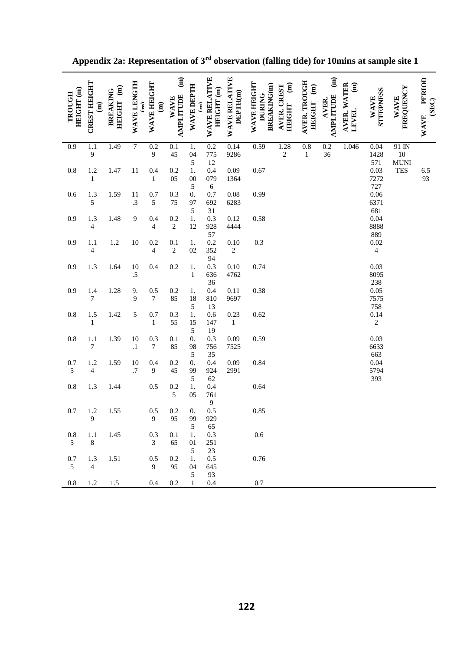| HEIGHT (m)<br>TROUGH  | <b>CREST HEIGHT</b><br>$\widehat{a}$ | HEIGHT (m)<br><b>BREAKING</b> | WAVE LENGTH<br>$\hat{f}$ | WAVE HEIGHT<br>$\begin{matrix} \mathbf{1} \end{matrix}$ | $\widehat{a}$<br><b>AMPLITUDE</b><br><b>WAVE</b> | <b>WAVE DEPTH</b><br>Ĵ      | WAVE RELATIVE<br>HEIGHT <sub>(m)</sub> | WAVE RELATIVE<br>DEPTH(m) | WAVE HEIGHT<br><b>BREAKING(m)</b><br><b>DURING</b> | $\begin{matrix} \mathbf{g} \end{matrix}$<br>AVER. CREST<br><b>HEIGHT</b> | AVER. TROUGH<br>HEIGHT (m)       | $\widehat{\mathbf{H}}$<br><b>AMPLITUDE</b><br>AVER. | AVER. WATER<br>$\widehat{\mathbf{g}}$<br>LEVEL | STEEPNESS<br><b>WAVE</b>   | FREQUENCY<br><b>WAVE</b>  | PERIOD<br>(SEC)<br><b>WAVE</b> |
|-----------------------|--------------------------------------|-------------------------------|--------------------------|---------------------------------------------------------|--------------------------------------------------|-----------------------------|----------------------------------------|---------------------------|----------------------------------------------------|--------------------------------------------------------------------------|----------------------------------|-----------------------------------------------------|------------------------------------------------|----------------------------|---------------------------|--------------------------------|
| $\overline{0.9}$      | $\overline{1.1}$<br>$\boldsymbol{9}$ | 1.49                          | $\overline{7}$           | $\overline{0.2}$<br>9                                   | 0.1<br>45                                        | $1.$<br>04                  | 0.2<br>775                             | 0.14<br>9286              | 0.59                                               | 1.28<br>$\overline{c}$                                                   | $\overline{0.8}$<br>$\mathbf{1}$ | 0.2<br>36                                           | 1.046                                          | $0.04\,$<br>1428           | 91 IN<br>$10\,$           |                                |
| $0.8\,$               | 1.2<br>$\mathbf{1}$                  | 1.47                          | 11                       | 0.4<br>$\,1$                                            | 0.2<br>05                                        | 5<br>$1.$<br>$00\,$<br>5    | 12<br>0.4<br>079<br>$\sqrt{6}$         | 0.09<br>1364              | 0.67                                               |                                                                          |                                  |                                                     |                                                | 571<br>0.03<br>7272<br>727 | <b>MUNI</b><br><b>TES</b> | 6.5<br>93                      |
| 0.6                   | 1.3<br>5                             | 1.59                          | 11<br>$\cdot$ 3          | 0.7<br>$\mathfrak s$                                    | 0.3<br>75                                        | $\overline{0}$ .<br>97<br>5 | 0.7<br>692<br>$31\,$                   | $0.08\,$<br>6283          | 0.99                                               |                                                                          |                                  |                                                     |                                                | $0.06\,$<br>6371<br>681    |                           |                                |
| 0.9                   | 1.3<br>$\overline{\mathcal{A}}$      | 1.48                          | 9                        | 0.4<br>$\overline{\mathcal{L}}$                         | 0.2<br>$\sqrt{2}$                                | 1.<br>12                    | 0.3<br>928<br>57                       | 0.12<br>4444              | 0.58                                               |                                                                          |                                  |                                                     |                                                | 0.04<br>8888<br>889        |                           |                                |
| 0.9                   | 1.1<br>$\overline{\mathcal{A}}$      | $1.2\,$                       | $10\,$                   | 0.2<br>$\overline{\mathcal{L}}$                         | 0.1<br>$\sqrt{2}$                                | $1.$<br>02                  | 0.2<br>352<br>94                       | 0.10<br>$\sqrt{2}$        | 0.3                                                |                                                                          |                                  |                                                     |                                                | 0.02<br>$\overline{4}$     |                           |                                |
| 0.9                   | 1.3                                  | 1.64                          | 10<br>$\overline{.5}$    | 0.4                                                     | $0.2\,$                                          | $1.$<br>$\,1\,$             | 0.3<br>636<br>36                       | 0.10<br>4762              | 0.74                                               |                                                                          |                                  |                                                     |                                                | 0.03<br>8095<br>238        |                           |                                |
| 0.9                   | 1.4<br>$\boldsymbol{7}$              | 1.28                          | 9.<br>$\mathbf{9}$       | 0.5<br>$\boldsymbol{7}$                                 | $0.2\,$<br>85                                    | 1.<br>18<br>5               | 0.4<br>810<br>13                       | 0.11<br>9697              | 0.38                                               |                                                                          |                                  |                                                     |                                                | 0.05<br>7575<br>758        |                           |                                |
| $0.8\,$               | 1.5<br>$\mathbf{1}$                  | 1.42                          | 5                        | 0.7<br>$\mathbf{1}$                                     | 0.3<br>55                                        | 1.<br>15<br>$\sqrt{5}$      | $0.6\,$<br>147<br>19                   | 0.23<br>$\mathbf{1}$      | 0.62                                               |                                                                          |                                  |                                                     |                                                | 0.14<br>$\sqrt{2}$         |                           |                                |
| $0.8\,$               | 1.1<br>$\boldsymbol{7}$              | 1.39                          | $10\,$<br>$\cdot^1$      | 0.3<br>$\boldsymbol{7}$                                 | 0.1<br>85                                        | $\overline{0}$ .<br>98<br>5 | 0.3<br>756<br>35                       | 0.09<br>7525              | 0.59                                               |                                                                          |                                  |                                                     |                                                | 0.03<br>6633<br>663        |                           |                                |
| 0.7<br>$\sqrt{5}$     | 1.2<br>$\overline{\mathbf{4}}$       | 1.59                          | $10\,$<br>.7             | 0.4<br>9                                                | 0.2<br>45                                        | $\overline{0}$ .<br>99<br>5 | 0.4<br>924<br>62                       | 0.09<br>2991              | 0.84                                               |                                                                          |                                  |                                                     |                                                | 0.04<br>5794<br>393        |                           |                                |
| $0.8\,$               | 1.3                                  | 1.44                          |                          | 0.5                                                     | 0.2<br>$\sqrt{5}$                                | 1.<br>05                    | 0.4<br>761<br>$\overline{9}$           |                           | 0.64                                               |                                                                          |                                  |                                                     |                                                |                            |                           |                                |
| 0.7                   | 1.2<br>9                             | 1.55                          |                          | 0.5<br>$\boldsymbol{9}$                                 | 0.2<br>95                                        | $0.$<br>99<br>5             | 0.5<br>929<br>65                       |                           | 0.85                                               |                                                                          |                                  |                                                     |                                                |                            |                           |                                |
| $0.8\,$<br>5          | 1.1<br>$\,8\,$                       | 1.45                          |                          | 0.3<br>3                                                | 0.1<br>65                                        | 1.<br>$01\,$<br>5           | 0.3<br>251<br>$23\,$                   |                           | 0.6                                                |                                                                          |                                  |                                                     |                                                |                            |                           |                                |
| 0.7<br>$\mathfrak{S}$ | 1.3<br>$\overline{4}$                | 1.51                          |                          | 0.5<br>9                                                | 0.2<br>95                                        | 1.<br>04<br>5               | 0.5<br>645<br>93                       |                           | 0.76                                               |                                                                          |                                  |                                                     |                                                |                            |                           |                                |
| $\rm 0.8$             | $1.2\,$                              | 1.5                           |                          | 0.4                                                     | $0.2\,$                                          | $\mathbf{1}$                | 0.4                                    |                           | $0.7\,$                                            |                                                                          |                                  |                                                     |                                                |                            |                           |                                |

**Appendix 2a: Representation of 3rd observation (falling tide) for 10mins at sample site 1**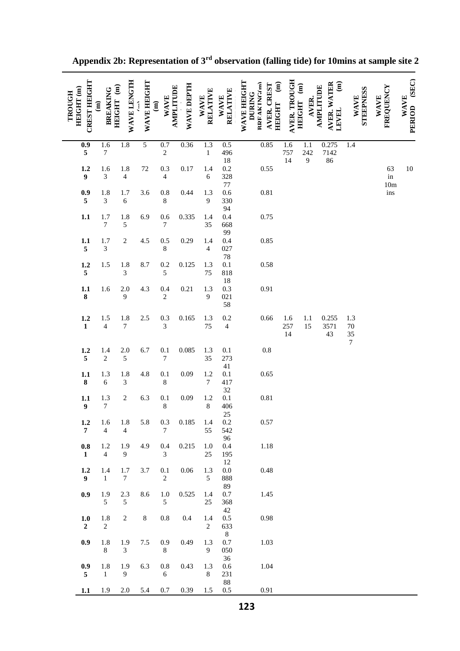| TROUGH | <b>CREST HEIGHT</b><br>HEIGHT (m)           | <b>BREAKING</b><br>$\widehat{a}$ | WAVE LENGTH<br>HEIGHT <sub>(m)</sub> | WAVE HEIGHT    | AMPLITUDE<br><b>WAVE</b><br>$\widehat{\mathbf{g}}$ | WAVE DEPTH | <b>RELATIVE</b><br><b>WAVE</b>   | <b>RELATIVE</b><br><b>WAVE</b> | WAVE HEIGHT<br>$\widehat{\mathbf{g}}$<br>RREAKING(m)<br>AVER. CREST<br><b>DURING</b><br><b>HEIGHT</b> | <b>AVER. TROUGH</b><br>HEIGHT (m) | AVER.            | AVER. WATER<br>$\widehat{\mathbf{g}}$<br><b>AMPLITUDE</b><br>LEVEL | <b>STEEPNESS</b><br><b>WAVE</b> | FREQUENCY<br><b>WAVE</b>  | PERIOD (SEC)<br><b>WAVE</b> |
|--------|---------------------------------------------|----------------------------------|--------------------------------------|----------------|----------------------------------------------------|------------|----------------------------------|--------------------------------|-------------------------------------------------------------------------------------------------------|-----------------------------------|------------------|--------------------------------------------------------------------|---------------------------------|---------------------------|-----------------------------|
|        | $\overline{0.9}$<br>$\overline{\mathbf{5}}$ | 1.6<br>$\boldsymbol{7}$          | 1.8                                  | $\overline{5}$ | 0.7<br>$\sqrt{2}$                                  | 0.36       | $\overline{1.3}$<br>$\mathbf{1}$ | 0.5<br>496                     | 0.85                                                                                                  | 1.6<br>757                        | $1.1\,$<br>242   | 0.275<br>7142                                                      | 1.4                             |                           |                             |
|        | 1.2<br>$\boldsymbol{9}$                     | 1.6<br>$\overline{3}$            | 1.8<br>$\overline{4}$                | $72\,$         | 0.3<br>$\overline{4}$                              | 0.17       | 1.4<br>$\sqrt{6}$                | $18\,$<br>0.2<br>328           | 0.55                                                                                                  | 14                                | $\boldsymbol{9}$ | 86                                                                 |                                 | 63<br>$\operatorname{in}$ | $10\,$                      |
|        | 0.9<br>$\sqrt{5}$                           | 1.8<br>$\mathfrak{Z}$            | 1.7<br>$\sqrt{6}$                    | 3.6            | $0.8\,$<br>$\,$ 8 $\,$                             | 0.44       | 1.3<br>$\boldsymbol{9}$          | $77\,$<br>0.6<br>330<br>94     | 0.81                                                                                                  |                                   |                  |                                                                    |                                 | $10\mathrm{m}$<br>ins     |                             |
|        | 1.1                                         | 1.7<br>$\boldsymbol{7}$          | 1.8<br>$\sqrt{5}$                    | 6.9            | 0.6<br>$\boldsymbol{7}$                            | 0.335      | 1.4<br>35                        | 0.4<br>668<br>99               | 0.75                                                                                                  |                                   |                  |                                                                    |                                 |                           |                             |
|        | 1.1<br>$\sqrt{5}$                           | 1.7<br>$\mathfrak{Z}$            | $\sqrt{2}$                           | 4.5            | 0.5<br>$\,8\,$                                     | 0.29       | 1.4<br>$\overline{4}$            | 0.4<br>027<br>$78\,$           | 0.85                                                                                                  |                                   |                  |                                                                    |                                 |                           |                             |
|        | 1.2<br>$\sqrt{5}$                           | 1.5                              | 1.8<br>$\mathfrak{Z}$                | 8.7            | 0.2<br>$\sqrt{5}$                                  | 0.125      | 1.3<br>75                        | $0.1\,$<br>818<br>$18\,$       | 0.58                                                                                                  |                                   |                  |                                                                    |                                 |                           |                             |
|        | 1.1<br>$\bf 8$                              | 1.6                              | 2.0<br>9                             | 4.3            | 0.4<br>$\sqrt{2}$                                  | 0.21       | 1.3<br>$\mathbf{9}$              | 0.3<br>021<br>58               | 0.91                                                                                                  |                                   |                  |                                                                    |                                 |                           |                             |
|        | 1.2<br>$\mathbf{1}$                         | 1.5<br>$\overline{4}$            | 1.8<br>$\boldsymbol{7}$              | $2.5\,$        | 0.3<br>3                                           | 0.165      | $1.3\,$<br>75                    | 0.2<br>$\overline{4}$          | 0.66                                                                                                  | 1.6<br>257<br>14                  | 1.1<br>15        | 0.255<br>3571<br>43                                                | 1.3<br>$70\,$<br>35             |                           |                             |
|        | 1.2<br>$\sqrt{5}$                           | 1.4<br>$\sqrt{2}$                | $2.0\,$<br>$\sqrt{5}$                | 6.7            | 0.1<br>$\boldsymbol{7}$                            | 0.085      | 1.3<br>35                        | $0.1\,$<br>273<br>41           | $0.8\,$                                                                                               |                                   |                  |                                                                    | $\overline{7}$                  |                           |                             |
|        | 1.1<br>$\pmb{8}$                            | 1.3<br>$\sqrt{6}$                | 1.8<br>$\mathfrak{Z}$                | 4.8            | 0.1<br>$\,8\,$                                     | 0.09       | 1.2<br>$\boldsymbol{7}$          | $0.1\,$<br>417<br>$32\,$       | 0.65                                                                                                  |                                   |                  |                                                                    |                                 |                           |                             |
|        | 1.1<br>$\overline{9}$                       | 1.3<br>$\boldsymbol{7}$          | $\sqrt{2}$                           | 6.3            | 0.1<br>$\,8\,$                                     | 0.09       | 1.2<br>$\,8\,$                   | $0.1\,$<br>406<br>$25\,$       | 0.81                                                                                                  |                                   |                  |                                                                    |                                 |                           |                             |
|        | 1.2<br>$\overline{7}$                       | 1.6<br>$\overline{4}$            | 1.8<br>$\overline{4}$                | 5.8            | 0.3<br>$\tau$                                      | 0.185      | 1.4<br>55                        | 0.2<br>542<br>96               | 0.57                                                                                                  |                                   |                  |                                                                    |                                 |                           |                             |
|        | $0.8\,$<br>$\mathbf{1}$                     | $1.2\,$<br>$\overline{4}$        | 1.9<br>9                             | 4.9            | 0.4<br>3                                           | 0.215      | 1.0<br>25                        | 0.4<br>195<br>12               | 1.18                                                                                                  |                                   |                  |                                                                    |                                 |                           |                             |
|        | 1.2<br>$\boldsymbol{9}$                     | $1.4\,$<br>$\mathbf{1}$          | 1.7<br>$\boldsymbol{7}$              | 3.7            | 0.1<br>$\sqrt{2}$                                  | $0.06\,$   | 1.3<br>$\sqrt{5}$                | $0.0\,$<br>888<br>89           | 0.48                                                                                                  |                                   |                  |                                                                    |                                 |                           |                             |
|        | 0.9                                         | 1.9<br>5                         | 2.3<br>$\sqrt{5}$                    | 8.6            | $1.0\,$<br>5                                       | 0.525      | 1.4<br>25                        | $0.7\,$<br>368<br>42           | 1.45                                                                                                  |                                   |                  |                                                                    |                                 |                           |                             |
|        | $1.0$<br>$\overline{2}$                     | $1.8\,$<br>$\overline{2}$        | $\sqrt{2}$                           | $\,8\,$        | $0.8\,$                                            | 0.4        | 1.4<br>$\sqrt{2}$                | 0.5<br>633<br>$8\,$            | 0.98                                                                                                  |                                   |                  |                                                                    |                                 |                           |                             |
|        | 0.9                                         | $1.8\,$<br>8                     | 1.9<br>3                             | $7.5\,$        | 0.9<br>8                                           | 0.49       | 1.3<br>$\overline{9}$            | $0.7\,$<br>050<br>36           | 1.03                                                                                                  |                                   |                  |                                                                    |                                 |                           |                             |
|        | 0.9<br>5                                    | $1.8\,$<br>$\mathbf{1}$          | 1.9<br>9                             | 6.3            | $0.8\,$<br>6                                       | 0.43       | 1.3<br>$8\,$                     | 0.6<br>231<br>$\bf 88$         | 1.04                                                                                                  |                                   |                  |                                                                    |                                 |                           |                             |
|        | 1.1                                         | 1.9                              | 2.0                                  | 5.4            | 0.7                                                | 0.39       | 1.5                              | 0.5                            | 0.91                                                                                                  |                                   |                  |                                                                    |                                 |                           |                             |

# **Appendix 2b: Representation of 3rd observation (falling tide) for 10mins at sample site 2**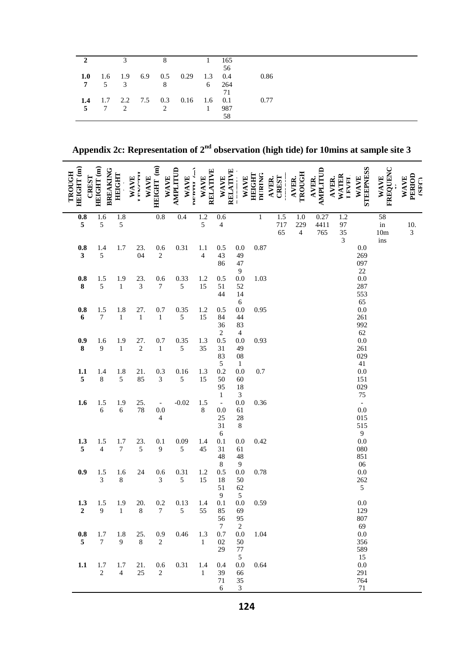|               | $\mathcal{R}$ |                |                                         | $\mathbf{1}$ | 165         |      |
|---------------|---------------|----------------|-----------------------------------------|--------------|-------------|------|
|               |               |                | 1.0 1.6 1.9 6.9 0.5 0.29 1.3 0.4        |              | 56          | 0.86 |
|               |               | 7 5 3 8        |                                         | 6 264        | 71          |      |
| $5 \t 7 \t 2$ |               | $\overline{2}$ | <b>1.4</b> 1.7 2.2 7.5 0.3 0.16 1.6 0.1 | $\sim$ 1     | - 987<br>58 | 0.77 |

**Appendix 2c: Representation of 2nd observation (high tide) for 10mins at sample site 3**

| HEIGHT (m)<br>TROUGH<br>CREST           | HEIGHT (m)<br><b>BREAKING</b> | <b>HEIGHT</b>           | <b>TENNICIP</b><br>WAVE | HEIGHT (m)<br>WAVE<br>WAVE                  | AMPLITUD<br>WAVE   | RELATIVE<br>NETHER A<br>WAVE    | <b>WAVE</b>                              | RELATIVE<br>WAVE                        | <b>DURING</b><br><b>HEIGHT</b> | <b>CREST</b><br><b>AVER.</b>  | TROUGH<br>AVER.              | AMPLITUD<br><b>AVER.</b> | WATER<br><b>LEVEI</b><br><b>AVER.</b> | <b>STEEPNESS</b><br><b>WAVE</b>       | <b>FREQUENC</b><br>WAVE                 | PERIOD<br><b>WAVE</b><br>$($ SEC) |
|-----------------------------------------|-------------------------------|-------------------------|-------------------------|---------------------------------------------|--------------------|---------------------------------|------------------------------------------|-----------------------------------------|--------------------------------|-------------------------------|------------------------------|--------------------------|---------------------------------------|---------------------------------------|-----------------------------------------|-----------------------------------|
| $\mathbf{0.8}$<br>$\sqrt{5}$            | 1.6<br>5                      | $\overline{1.8}$<br>5   |                         | $0.8\,$                                     | 0.4                | 1.2<br>5                        | 0.6<br>$\overline{\mathcal{L}}$          |                                         | $\,1$                          | $\overline{1.5}$<br>717<br>65 | 1.0<br>229<br>$\overline{4}$ | 0.27<br>4411<br>765      | 1.2<br>97<br>35<br>3                  |                                       | 58<br>$\operatorname{in}$<br>10m<br>ins | $\frac{10}{3}$                    |
| $0.8\,$<br>$\overline{\mathbf{3}}$      | 1.4<br>5                      | 1.7                     | 23.<br>04               | 0.6<br>$\overline{c}$                       | 0.31               | 1.1<br>$\overline{\mathcal{L}}$ | 0.5<br>43<br>86                          | 0.0<br>49<br>47<br>$\overline{9}$       | 0.87                           |                               |                              |                          |                                       | 0.0<br>269<br>097<br>$22\,$           |                                         |                                   |
| $\begin{array}{c} 0.8 \\ 8 \end{array}$ | 1.5<br>5                      | 1.9<br>$\mathbf{1}$     | 23.<br>$\mathfrak{Z}$   | 0.6<br>$\boldsymbol{7}$                     | 0.33<br>$\sqrt{5}$ | 1.2<br>15                       | 0.5<br>51<br>44                          | 0.0<br>52<br>14<br>$\sqrt{6}$           | 1.03                           |                               |                              |                          |                                       | 0.0<br>287<br>553<br>65               |                                         |                                   |
| $\mathbf{0.8}$<br>$\boldsymbol{6}$      | 1.5<br>$\boldsymbol{7}$       | 1.8<br>$\mathbf 1$      | 27.<br>$\,1\,$          | 0.7<br>$\,1$                                | 0.35<br>$\sqrt{5}$ | $1.2\,$<br>15                   | 0.5<br>84<br>36<br>$\sqrt{2}$            | 0.0<br>44<br>83<br>$\overline{4}$       | 0.95                           |                               |                              |                          |                                       | 0.0<br>261<br>992<br>62               |                                         |                                   |
| $\frac{0.9}{8}$                         | 1.6<br>9                      | 1.9<br>$\,1$            | 27.<br>$\overline{c}$   | 0.7<br>$\mathbf{1}$                         | 0.35<br>$\sqrt{5}$ | 1.3<br>35                       | 0.5<br>31<br>83<br>$\sqrt{5}$            | 0.0<br>49<br>${\bf 08}$<br>$\mathbf{1}$ | 0.93                           |                               |                              |                          |                                       | $\frac{0.0}{261}$<br>029<br>$41\,$    |                                         |                                   |
| $\frac{1.1}{5}$                         | 1.4<br>8                      | 1.8<br>5                | 21.<br>85               | 0.3<br>3                                    | 0.16<br>$\sqrt{5}$ | 1.3<br>15                       | 0.2<br>50<br>95<br>$1\,$                 | 0.0<br>60<br>18<br>$\mathfrak{Z}$       | 0.7                            |                               |                              |                          |                                       | 0.0<br>151<br>029<br>75               |                                         |                                   |
| 1.6                                     | 1.5<br>6                      | 1.9<br>6                | 25.<br>78               | $\blacksquare$<br>$0.0\,$<br>$\overline{4}$ | $-0.02$            | 1.5<br>$\,8\,$                  | $\Box$<br>0.0<br>25<br>31                | 0.0<br>61<br>28<br>$\,8\,$              | 0.36                           |                               |                              |                          |                                       | $\mathbb{Z}^d$<br>0.0<br>015          |                                         |                                   |
| 1.3<br>$\sqrt{5}$                       | 1.5<br>$\overline{4}$         | 1.7<br>$\boldsymbol{7}$ | 23.<br>5                | 0.1<br>9                                    | 0.09<br>$\sqrt{5}$ | 1.4<br>45                       | $\sqrt{6}$<br>0.1<br>31<br>48<br>$\,8\,$ | 0.0<br>61<br>48<br>$\overline{9}$       | 0.42                           |                               |                              |                          |                                       | $515$<br>9<br>0.0<br>080<br>851<br>06 |                                         |                                   |
| 0.9                                     | 1.5<br>3                      | 1.6<br>8                | 24                      | 0.6<br>3                                    | 0.31<br>$\sqrt{5}$ | 1.2<br>15                       | 0.5<br>18<br>51<br>9                     | 0.0<br>50<br>62<br>$\sqrt{5}$           | 0.78                           |                               |                              |                          |                                       | $0.0\,$<br>262<br>$\sqrt{5}$          |                                         |                                   |
| 1.3<br>2                                | 1.5<br>9                      | 1.9<br>1                | 20.<br>8                | 0.2<br>7.                                   | 0.13<br>5          | 1.4<br>55                       | 0.1<br>85<br>56<br>$\tau$                | 0.0<br>69<br>95<br>2                    | 0.59                           |                               |                              |                          |                                       | 0.0<br>129<br>807<br>69               |                                         |                                   |
| $\mathbf{0.8}$<br>5                     | 1.7<br>$\tau$                 | 1.8<br>9                | 25.<br>8                | $0.9\,$<br>$\overline{c}$                   | 0.46               | 1.3<br>$\mathbf{1}$             | 0.7<br>$02\,$<br>29                      | 0.0<br>50<br>77<br>5                    | 1.04                           |                               |                              |                          |                                       | $0.0\,$<br>356<br>589<br>15           |                                         |                                   |
| 1.1                                     | 1.7<br>$\sqrt{2}$             | 1.7<br>$\overline{4}$   | 21.<br>$25\,$           | $0.6\,$<br>$\sqrt{2}$                       | 0.31               | 1.4<br>1                        | 0.4<br>39<br>71<br>6                     | 0.0<br>66<br>35<br>$\mathfrak{Z}$       | 0.64                           |                               |                              |                          |                                       | $0.0\,$<br>291<br>764<br>$71\,$       |                                         |                                   |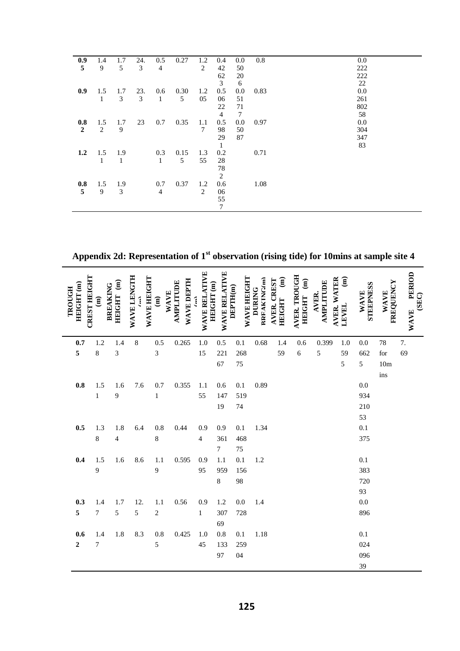| 0.9              | 1.4          | 1.7          | 24. | 0.5            | 0.27 | 1.2            | 0.4            | $0.0\,$ | 0.8  | 0.0 |
|------------------|--------------|--------------|-----|----------------|------|----------------|----------------|---------|------|-----|
| 5                | 9            | 5            | 3   | $\overline{4}$ |      | $\overline{2}$ | 42             | 50      |      | 222 |
|                  |              |              |     |                |      |                | 62             | 20      |      | 222 |
|                  |              |              |     |                |      |                | 3              | 6       |      | 22  |
| 0.9              | 1.5          | 1.7          | 23. | 0.6            | 0.30 | 1.2            | 0.5            | $0.0\,$ | 0.83 | 0.0 |
|                  | $\mathbf{1}$ | 3            | 3   | $\mathbf{1}$   | 5    | 05             | 06             | 51      |      | 261 |
|                  |              |              |     |                |      |                | 22             | 71      |      | 802 |
|                  |              |              |     |                |      |                | $\overline{4}$ | 7       |      | 58  |
| 0.8              | 1.5          | 1.7          | 23  | 0.7            | 0.35 | 1.1            | 0.5            | $0.0\,$ | 0.97 | 0.0 |
| $\boldsymbol{2}$ | 2            | 9            |     |                |      | 7              | 98             | 50      |      | 304 |
|                  |              |              |     |                |      |                | 29             | 87      |      | 347 |
|                  |              |              |     |                |      |                | $\mathbf{1}$   |         |      | 83  |
| 1.2              | 1.5          | 1.9          |     | 0.3            | 0.15 | 1.3            | 0.2            |         | 0.71 |     |
|                  | $\mathbf{1}$ | $\mathbf{1}$ |     | $\mathbf{1}$   | 5    | 55             | 28             |         |      |     |
|                  |              |              |     |                |      |                | 78             |         |      |     |
|                  |              |              |     |                |      |                | 2              |         |      |     |
| 0.8              | 1.5          | 1.9          |     | 0.7            | 0.37 | 1.2            | 0.6            |         | 1.08 |     |
| 5                | 9            | 3            |     | $\overline{4}$ |      | 2              | 06             |         |      |     |
|                  |              |              |     |                |      |                | 55             |         |      |     |
|                  |              |              |     |                |      |                | $\tau$         |         |      |     |

**Appendix 2d: Representation of 1st observation (rising tide) for 10mins at sample site 4**

| <b>CREST HEIGHT</b><br>$HEIGHT$ (m)<br>TROUGH | <b>BREAKING</b><br>$\widehat{\mathbf{g}}$ | $\widehat{\mathbf{g}}$<br><b>HEIGHT</b> | <b>WAVE LENGTH</b><br><b>WAVE HEIGHT</b><br>Î | WAVE<br>$\widehat{\mathsf{g}}$ | WAVE DEPTH<br>AMPLITUDE | <b>WAVE RELATIVE</b> | WAVE RELATIVE<br>HEIGHT (m) | <b>WAVE HEIGHT</b><br>DEPTH <sub>(m)</sub> | <b>RREAKING(m)</b><br><b>DURING</b> | $\widehat{\mathbf{g}}$<br>AVER. CREST<br>HEIGHT | <b>AVER. TROUGH</b><br>$\widehat{\mathbf{g}}$<br><b>HEIGHT</b> | <b>AVER. WATER</b><br>AMPLITUDE<br><b>AVER.</b> | $\widehat{\mathbf{g}}$<br>LEVEL | <b>STEEPNESS</b><br>WAVE | FREQUENCY<br><b>WAVE</b> | PERIOD<br>(SEC)<br><b>WAVE</b> |
|-----------------------------------------------|-------------------------------------------|-----------------------------------------|-----------------------------------------------|--------------------------------|-------------------------|----------------------|-----------------------------|--------------------------------------------|-------------------------------------|-------------------------------------------------|----------------------------------------------------------------|-------------------------------------------------|---------------------------------|--------------------------|--------------------------|--------------------------------|
| 0.7                                           | 1.2                                       | 1.4                                     | $\,8\,$                                       | 0.5                            | 0.265                   | 1.0                  | 0.5                         | 0.1                                        | 0.68                                | 1.4                                             | 0.6                                                            | 0.399                                           | 1.0                             | 0.0                      | 78                       | 7.                             |
| 5                                             | 8                                         | 3                                       |                                               | 3                              |                         | 15                   | 221                         | 268                                        |                                     | 59                                              | 6                                                              | 5                                               | 59                              | 662                      | for                      | 69                             |
|                                               |                                           |                                         |                                               |                                |                         |                      | 67                          | 75                                         |                                     |                                                 |                                                                |                                                 | 5                               | 5                        | 10 <sub>m</sub>          |                                |
|                                               |                                           |                                         |                                               |                                |                         |                      |                             |                                            |                                     |                                                 |                                                                |                                                 |                                 |                          | ins                      |                                |
| 0.8                                           | 1.5                                       | 1.6                                     | 7.6                                           | 0.7                            | 0.355                   | 1.1                  | 0.6                         | 0.1                                        | 0.89                                |                                                 |                                                                |                                                 |                                 | 0.0                      |                          |                                |
|                                               | $\mathbf{1}$                              | 9                                       |                                               | $\mathbf{1}$                   |                         | 55                   | 147                         | 519                                        |                                     |                                                 |                                                                |                                                 |                                 | 934                      |                          |                                |
|                                               |                                           |                                         |                                               |                                |                         |                      | 19                          | 74                                         |                                     |                                                 |                                                                |                                                 |                                 | 210                      |                          |                                |
|                                               |                                           |                                         |                                               |                                |                         |                      |                             |                                            |                                     |                                                 |                                                                |                                                 |                                 | 53                       |                          |                                |
| 0.5                                           | 1.3                                       | 1.8                                     | 6.4                                           | 0.8                            | 0.44                    | 0.9                  | 0.9                         | 0.1                                        | 1.34                                |                                                 |                                                                |                                                 |                                 | 0.1                      |                          |                                |
|                                               | $\,8\,$                                   | $\overline{\mathcal{L}}$                |                                               | 8                              |                         | 4                    | 361                         | 468                                        |                                     |                                                 |                                                                |                                                 |                                 | 375                      |                          |                                |
|                                               |                                           |                                         |                                               |                                |                         |                      | 7                           | 75                                         |                                     |                                                 |                                                                |                                                 |                                 |                          |                          |                                |
| 0.4                                           | 1.5                                       | 1.6                                     | 8.6                                           | 1.1                            | 0.595                   | 0.9                  | 1.1                         | 0.1                                        | 1.2                                 |                                                 |                                                                |                                                 |                                 | 0.1                      |                          |                                |
|                                               | 9                                         |                                         |                                               | 9                              |                         | 95                   | 959                         | 156                                        |                                     |                                                 |                                                                |                                                 |                                 | 383                      |                          |                                |
|                                               |                                           |                                         |                                               |                                |                         |                      | $\,8\,$                     | 98                                         |                                     |                                                 |                                                                |                                                 |                                 | 720                      |                          |                                |
| 0.3                                           | 1.4                                       | 1.7                                     | 12.                                           | 1.1                            | 0.56                    | 0.9                  | 1.2                         | 0.0                                        | 1.4                                 |                                                 |                                                                |                                                 |                                 | 93<br>0.0                |                          |                                |
| 5                                             | $\overline{7}$                            | 5                                       | 5                                             | $\overline{c}$                 |                         | $\mathbf{1}$         | 307                         | 728                                        |                                     |                                                 |                                                                |                                                 |                                 | 896                      |                          |                                |
|                                               |                                           |                                         |                                               |                                |                         |                      | 69                          |                                            |                                     |                                                 |                                                                |                                                 |                                 |                          |                          |                                |
| 0.6                                           | 1.4                                       | 1.8                                     | 8.3                                           | 0.8                            | 0.425                   | 1.0                  | 0.8                         | 0.1                                        | 1.18                                |                                                 |                                                                |                                                 |                                 | 0.1                      |                          |                                |
| $\overline{2}$                                | $\tau$                                    |                                         |                                               | 5                              |                         | 45                   | 133                         | 259                                        |                                     |                                                 |                                                                |                                                 |                                 | 024                      |                          |                                |
|                                               |                                           |                                         |                                               |                                |                         |                      | 97                          | 04                                         |                                     |                                                 |                                                                |                                                 |                                 | 096                      |                          |                                |
|                                               |                                           |                                         |                                               |                                |                         |                      |                             |                                            |                                     |                                                 |                                                                |                                                 |                                 | 39                       |                          |                                |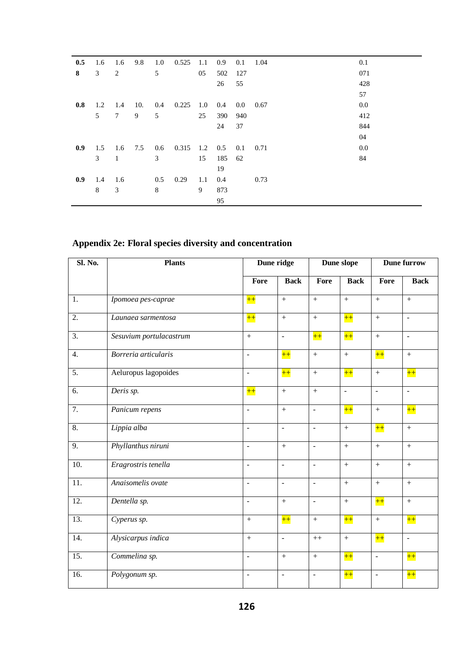| 0.5 | 1.6            | 1.6             | 9.8 | 1.0 | 0.525               | -1.1 | 0.9 | 0.1 | 1.04            | 0.1 |
|-----|----------------|-----------------|-----|-----|---------------------|------|-----|-----|-----------------|-----|
| 8   | 3 <sup>7</sup> | 2               |     | 5   |                     | 05   | 502 | 127 |                 | 071 |
|     |                |                 |     |     |                     |      | 26  | 55  |                 | 428 |
|     |                |                 |     |     |                     |      |     |     |                 | 57  |
| 0.8 | 1.2            | 1.4             | 10. | 0.4 | 0.225               | 1.0  | 0.4 |     | $0.0\quad 0.67$ | 0.0 |
|     | 5              | $7\overline{ }$ | 9   | 5   |                     | 25   | 390 | 940 |                 | 412 |
|     |                |                 |     |     |                     |      | 24  | 37  |                 | 844 |
|     |                |                 |     |     |                     |      |     |     |                 | 04  |
| 0.9 | 1.5            | 1.6 7.5         |     |     | $0.6$ $0.315$ $1.2$ |      | 0.5 | 0.1 | 0.71            | 0.0 |
|     | 3              | $\mathbf{1}$    |     | 3   |                     | 15   | 185 | 62  |                 | 84  |
|     |                |                 |     |     |                     |      | 19  |     |                 |     |
| 0.9 | 1.4            | 1.6             |     | 0.5 | 0.29                | 1.1  | 0.4 |     | 0.73            |     |
|     | 8              | $\mathfrak{Z}$  |     | 8   |                     | 9    | 873 |     |                 |     |
|     |                |                 |     |     |                     |      | 95  |     |                 |     |

## **Appendix 2e: Floral species diversity and concentration**

| Sl. No.           | <b>Plants</b>           |                          | Dune ridge               |                          | Dune slope       |                          | <b>Dune furrow</b> |
|-------------------|-------------------------|--------------------------|--------------------------|--------------------------|------------------|--------------------------|--------------------|
|                   |                         | Fore                     | <b>Back</b>              | Fore                     | <b>Back</b>      | Fore                     | <b>Back</b>        |
| 1.                | Ipomoea pes-caprae      | $++$                     | $\pm$                    | $\qquad \qquad +$        | $\! +$           | $\ddot{}$                | $\qquad \qquad +$  |
| 2.                | Launaea sarmentosa      | $++$                     | $\, +$                   | $\ddot{}$                | $++$             | $\, +$                   | $\mathbb{Z}^2$     |
| $\overline{3}$ .  | Sesuvium portulacastrum | $+$                      | $\overline{\phantom{a}}$ | $++$                     | $++$             | $\boldsymbol{+}$         | $\blacksquare$     |
| $\overline{4}$ .  | Borreria articularis    | $\bar{\phantom{a}}$      | $++$                     | $+$                      | $+$              | $++$                     | $+$                |
| $\overline{5}$ .  | Aeluropus lagopoides    | $\Box$                   | $++$                     | $\qquad \qquad +$        | $++$             | $\boldsymbol{+}$         | $++$               |
| $\overline{6}$ .  | Deris sp.               | $++$                     | $\, +$                   | $\boldsymbol{+}$         | $\blacksquare$   | $\Box$                   | $\omega$           |
| $\overline{7}$ .  | Panicum repens          | $\blacksquare$           | $+$                      | $\blacksquare$           | $++$             | $+$                      | $++$               |
| $\overline{8}$ .  | Lippia alba             | $\blacksquare$           | $\mathbb{Z}^2$           | $\overline{\phantom{a}}$ | $+$              | $++$                     | $+$                |
| 9.                | Phyllanthus niruni      | $\Box$                   | $\pm$                    | $\mathbb{L}$             | $\ddot{}$        | $\ddot{}$                | $\ddot{}$          |
| 10.               | Eragrostris tenella     | $\blacksquare$           | $\overline{a}$           | $\mathbb{L}$             | $\ddot{}$        | $+$                      | $\overline{+}$     |
| 11.               | Anaisomelis ovate       | $\blacksquare$           | $\overline{\phantom{a}}$ | $\blacksquare$           | $+$              | $+$                      | $+$                |
| $\overline{12}$ . | Dentella sp.            | $\overline{\phantom{a}}$ | $+$                      | $\mathbb{L}$             | $\! +$           | $++$                     | $^{+}$             |
| $\overline{13}$ . | Cyperus sp.             | $\, +$                   | $++$                     | $\qquad \qquad +$        | $++$             | $\boldsymbol{+}$         | $++$               |
| 14.               | Alysicarpus indica      | $\, +$                   | $\bar{\mathcal{L}}$      | $^{++}\,$                | $\boldsymbol{+}$ | $++$                     | $\omega$           |
| 15.               | Commelina sp.           | $\blacksquare$           | $+$                      | $\boldsymbol{+}$         | $++$             | $\overline{\phantom{a}}$ | $++$               |
| 16.               | Polygonum sp.           | $\sim$                   | $\overline{\phantom{a}}$ | $\sim$                   | $++$             | $\overline{\phantom{a}}$ | $+$                |
|                   |                         |                          |                          |                          |                  |                          |                    |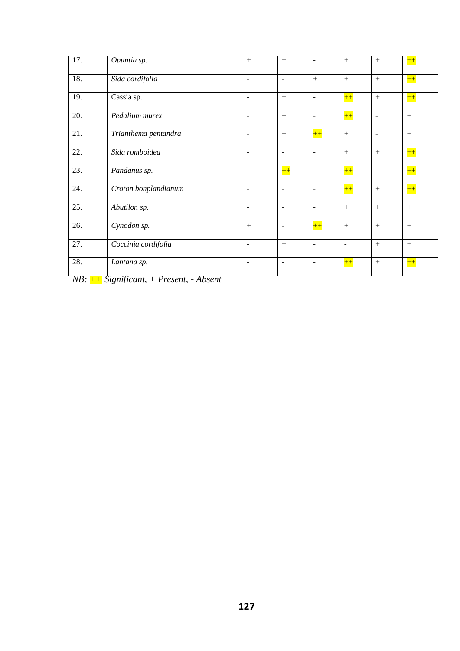| $\overline{17}$ .             | Opuntia sp.                                                                                | $+$                      | $+$                          | $\blacksquare$           | $+$            | $+$                      | $++$ |
|-------------------------------|--------------------------------------------------------------------------------------------|--------------------------|------------------------------|--------------------------|----------------|--------------------------|------|
| 18.                           | Sida cordifolia                                                                            | $\sim$                   | $\overline{\phantom{a}}$     | $+$                      | $+$            | $+$                      | $++$ |
| 19.                           | Cassia sp.                                                                                 | $\overline{\phantom{a}}$ | $+$                          | $\overline{\phantom{a}}$ | $++$           | $+$                      | $++$ |
| $\overline{20}$ .             | Pedalium murex                                                                             | $\blacksquare$           | $+$                          | $\blacksquare$           | $++$           | $\sim$                   | $+$  |
| 21.                           | Trianthema pentandra                                                                       | $\blacksquare$           | $+$                          | $++$                     | $+$            | $\sim$                   | $+$  |
| 22.                           | Sida romboidea                                                                             | $\sim$                   | $\overline{\phantom{a}}$     | $\blacksquare$           | $+$            | $+$                      | $++$ |
| 23.                           | Pandanus sp.                                                                               | $\overline{\phantom{a}}$ | $++$                         | $\overline{\phantom{a}}$ | $++$           | $\overline{\phantom{a}}$ | $++$ |
| $\overline{24}$ .             | Croton bonplandianum                                                                       | $\overline{\phantom{a}}$ | $\overline{\phantom{a}}$     | $\overline{\phantom{a}}$ | $++$           | $+$                      | $++$ |
| 25.                           | Abutilon sp.                                                                               | $\blacksquare$           | $\overline{\phantom{a}}$     | $\blacksquare$           | $+$            | $+$                      | $+$  |
| $\overline{26}$ .             | Cynodon sp.                                                                                | $+$                      | $\overline{\phantom{a}}$     | $++$                     | $+$            | $+$                      | $+$  |
| 27.                           | Coccinia cordifolia                                                                        | $\overline{\phantom{a}}$ | $+$                          | $\overline{\phantom{a}}$ | $\blacksquare$ | $+$                      | $+$  |
| 28.<br>$\lambda T \mathbf{D}$ | Lantana sp.<br>$\cdot$ $\cdot$ $\cdot$<br>$\mathbf{C}$<br>$\overline{p}$<br>$\overline{1}$ | $\overline{\phantom{a}}$ | $\qquad \qquad \blacksquare$ | $\overline{\phantom{a}}$ | $++$           | $+$                      | $++$ |

*NB: ++ Significant, + Present, - Absent*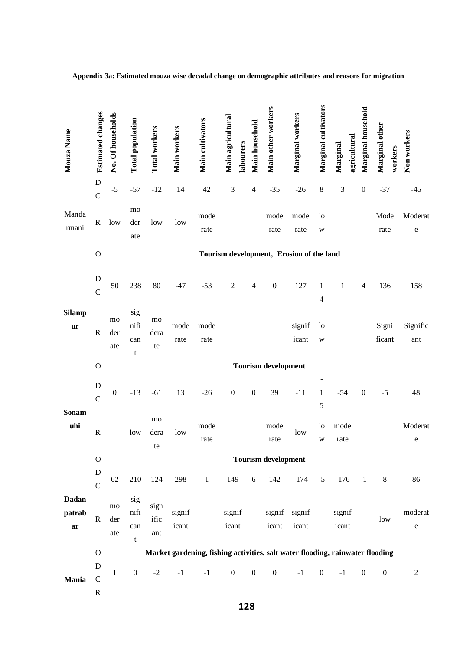| Mouza Name                   | <b>Estimated changes</b>         | No. Of households | <b>Total population</b> | <b>Total workers</b> | Main workers    | Main cultivators | Main agricultural<br>labourers | Main household   | Main other workers         | Marginal workers                         | Marginal cultivators | agricultural<br>Marginal                                                      | Marginal household | Marginal other<br>workers | Non workers          |
|------------------------------|----------------------------------|-------------------|-------------------------|----------------------|-----------------|------------------|--------------------------------|------------------|----------------------------|------------------------------------------|----------------------|-------------------------------------------------------------------------------|--------------------|---------------------------|----------------------|
|                              | $\mathbf D$<br>$\mathsf{C}$      | $-5$              | $-57$                   | $-12$                | 14              | $42\,$           | 3                              | $\overline{4}$   | $-35$                      | $-26$                                    | $\,8$                | 3                                                                             | $\boldsymbol{0}$   | $-37$                     | $-45$                |
| Manda<br>rmani               | $\mathbf R$                      | low               | mo<br>der<br>ate        | low                  | low             | mode<br>rate     |                                |                  | mode<br>rate               | mode<br>rate                             | $\log$<br>W          |                                                                               |                    | Mode<br>rate              | Moderat<br>${\bf e}$ |
|                              | $\mathbf O$                      |                   |                         |                      |                 |                  |                                |                  |                            | Tourism development, Erosion of the land |                      |                                                                               |                    |                           |                      |
|                              | ${\bf D}$<br>$\mathcal{C}$       | 50                | 238                     | 80                   | $-47$           | $-53$            | $\overline{2}$                 | $\overline{4}$   | $\boldsymbol{0}$           | 127                                      | 1<br>$\overline{4}$  | $\mathbf{1}$                                                                  | $\overline{4}$     | 136                       | 158                  |
| <b>Silamp</b><br>ur          | $\mathbf R$                      | mo<br>der<br>ate  | sig<br>nifi<br>can<br>t | mo<br>dera<br>te     | mode<br>rate    | mode<br>rate     |                                |                  |                            | signif<br>icant                          | $\log$<br>W          |                                                                               |                    | Signi<br>ficant           | Signific<br>ant      |
|                              | $\mathbf O$                      |                   |                         |                      |                 |                  |                                |                  | <b>Tourism development</b> |                                          |                      |                                                                               |                    |                           |                      |
|                              | ${\bf D}$<br>$\mathcal{C}$       | $\boldsymbol{0}$  | $-13$                   | $-61$                | 13              | $-26$            | $\boldsymbol{0}$               | $\boldsymbol{0}$ | 39                         | $-11$                                    | $\mathbf{1}$<br>5    | $-54$                                                                         | $\boldsymbol{0}$   | $-5$                      | 48                   |
| Sonam<br>uhi                 | ${\bf R}$                        |                   | low                     | mo<br>dera<br>te     | low             | mode<br>rate     |                                |                  | mode<br>rate               | low                                      | 1 <sub>o</sub><br>W  | mode<br>rate                                                                  |                    |                           | Moderat<br>e         |
|                              | ${\bf O}$                        |                   |                         |                      |                 |                  |                                |                  | <b>Tourism development</b> |                                          |                      |                                                                               |                    |                           |                      |
|                              | ${\bf D}$<br>$\mathbf C$         | 62                | 210                     | 124                  | 298             | $\,1$            | 149                            | 6                | 142                        | $-174$                                   | $-5$                 | $-176$                                                                        | $-1$               | $\,8\,$                   | 86                   |
| <b>Dadan</b><br>patrab<br>ar | $\mathbf R$                      | mo<br>der<br>ate  | sig<br>nifi<br>can<br>t | sign<br>ific<br>ant  | signif<br>icant |                  | signif<br>icant                |                  | signif<br>icant            | signif<br>icant                          |                      | signif<br>icant                                                               |                    | low                       | moderat<br>${\rm e}$ |
|                              | ${\bf O}$                        |                   |                         |                      |                 |                  |                                |                  |                            |                                          |                      | Market gardening, fishing activities, salt water flooding, rainwater flooding |                    |                           |                      |
| Mania                        | D<br>$\mathsf{C}$<br>$\mathbf R$ | $\mathbf{1}$      | $\boldsymbol{0}$        | $-2$                 | $-1$            | $-1$             | $\boldsymbol{0}$               | $\boldsymbol{0}$ | $\boldsymbol{0}$           | $-1$                                     | $\boldsymbol{0}$     | $-1$                                                                          | $\boldsymbol{0}$   | $\boldsymbol{0}$          | $\boldsymbol{2}$     |

**Appendix 3a: Estimated mouza wise decadal change on demographic attributes and reasons for migration**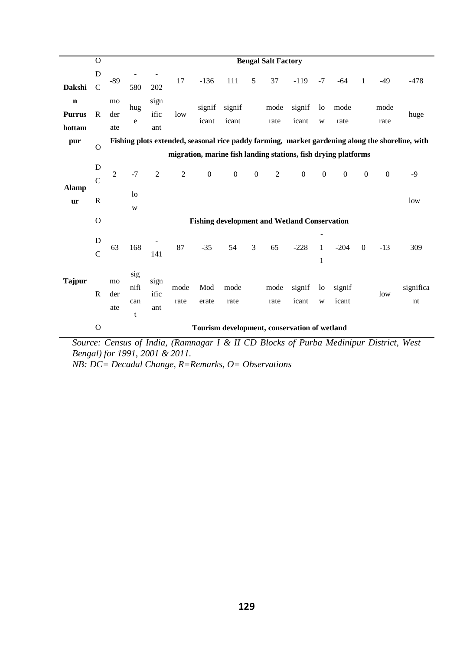|                                        | $\Omega$            |                  |                         |                     |                |                  |                                                     |                  | <b>Bengal Salt Factory</b> |                 |                   |                                                                |              |                  |                                                                                                 |
|----------------------------------------|---------------------|------------------|-------------------------|---------------------|----------------|------------------|-----------------------------------------------------|------------------|----------------------------|-----------------|-------------------|----------------------------------------------------------------|--------------|------------------|-------------------------------------------------------------------------------------------------|
| Dakshi                                 | D<br>$\mathsf{C}$   | $-89$            | 580                     | 202                 | 17             | $-136$           | 111                                                 | 5                | 37                         | $-119$          | $-7$              | $-64$                                                          | 1            | $-49$            | $-478$                                                                                          |
| $\mathbf n$<br><b>Purrus</b><br>hottam | $\mathbf{R}$        | mo<br>der<br>ate | hug<br>e                | sign<br>ific<br>ant | low            | signif<br>icant  | signif<br>icant                                     |                  | mode<br>rate               | signif<br>icant | lo<br>W           | mode<br>rate                                                   |              | mode<br>rate     | huge                                                                                            |
| pur                                    |                     |                  |                         |                     |                |                  |                                                     |                  |                            |                 |                   |                                                                |              |                  | Fishing plots extended, seasonal rice paddy farming, market gardening along the shoreline, with |
|                                        | $\Omega$            |                  |                         |                     |                |                  |                                                     |                  |                            |                 |                   | migration, marine fish landing stations, fish drying platforms |              |                  |                                                                                                 |
|                                        | D<br>$\overline{C}$ | $\overline{2}$   | $-7$                    | $\overline{2}$      | $\overline{2}$ | $\boldsymbol{0}$ | $\boldsymbol{0}$                                    | $\boldsymbol{0}$ | $\overline{2}$             | $\mathbf{0}$    | $\boldsymbol{0}$  | $\mathbf{0}$                                                   | $\mathbf{0}$ | $\boldsymbol{0}$ | $-9$                                                                                            |
| <b>Alamp</b><br>ur                     | $\mathbf R$         |                  | 1 <sub>o</sub><br>W     |                     |                |                  |                                                     |                  |                            |                 |                   |                                                                |              |                  | low                                                                                             |
|                                        | $\Omega$            |                  |                         |                     |                |                  | <b>Fishing development and Wetland Conservation</b> |                  |                            |                 |                   |                                                                |              |                  |                                                                                                 |
|                                        | D<br>$\mathbf C$    | 63               | 168                     | 141                 | 87             | $-35$            | 54                                                  | 3                | 65                         | $-228$          | $\mathbf{1}$<br>1 | $-204$                                                         | $\mathbf{0}$ | $-13$            | 309                                                                                             |
| <b>Tajpur</b>                          | $\mathbb{R}$        | mo<br>der<br>ate | sig<br>nifi<br>can<br>t | sign<br>ific<br>ant | mode<br>rate   | Mod<br>erate     | mode<br>rate                                        |                  | mode<br>rate               | signif<br>icant | lo<br>W           | signif<br>icant                                                |              | low              | significa<br>nt                                                                                 |
|                                        | $\mathbf O$         |                  |                         |                     |                |                  | Tourism development, conservation of wetland        |                  |                            |                 |                   |                                                                |              |                  |                                                                                                 |

*Source: Census of India, (Ramnagar I & II CD Blocks of Purba Medinipur District, West Bengal) for 1991, 2001 & 2011.* 

*NB: DC= Decadal Change, R=Remarks, O= Observations*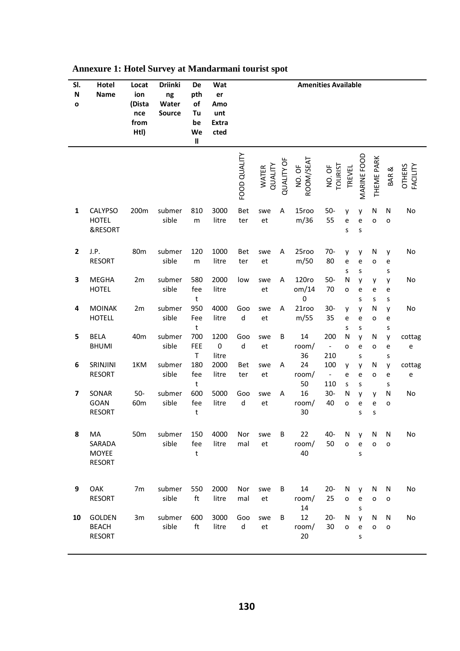| SI.<br>${\sf N}$<br>$\mathbf{o}$ | Hotel<br><b>Name</b>                           | Locat<br>ion<br>(Dista<br>nce<br>from<br>Htl) | <b>Driinki</b><br>ng<br>Water<br><b>Source</b> | De<br>pth<br>of<br>Tu<br>be<br>We<br>$\sf II$ | Wat<br>er<br>Amo<br>unt<br><b>Extra</b><br>cted |              |                  |                   |                     | <b>Amenities Available</b>                 |                          |             |             |             |                           |
|----------------------------------|------------------------------------------------|-----------------------------------------------|------------------------------------------------|-----------------------------------------------|-------------------------------------------------|--------------|------------------|-------------------|---------------------|--------------------------------------------|--------------------------|-------------|-------------|-------------|---------------------------|
|                                  |                                                |                                               |                                                |                                               |                                                 | FOOD QUALITY | QUALITY<br>WATER | <b>QUALITY OF</b> | ROOM/SEAT<br>NO. OF | <b>TOURIST</b><br>NO. OF                   | TREVEL                   | MARINE FOOD | THEME PARK  | BAR &       | <b>OTHERS</b><br>FACILITY |
| $\mathbf{1}$                     | <b>CALYPSO</b><br><b>HOTEL</b><br>&RESORT      | 200m                                          | submer<br>sible                                | 810<br>m                                      | 3000<br>litre                                   | Bet<br>ter   | swe<br>et        | A                 | 15roo<br>m/36       | $50-$<br>55                                | y<br>e<br>S              | y<br>e<br>S | N<br>o      | N<br>o      | No                        |
| $\overline{2}$                   | J.P.<br><b>RESORT</b>                          | 80 <sub>m</sub>                               | submer<br>sible                                | 120<br>m                                      | 1000<br>litre                                   | Bet<br>ter   | swe<br>et        | A                 | 25roo<br>m/50       | $70-$<br>80                                | y<br>e<br>S              | у<br>e<br>S | N<br>o      | y<br>e<br>S | No                        |
| 3                                | <b>MEGHA</b><br><b>HOTEL</b>                   | 2m                                            | submer<br>sible                                | 580<br>fee<br>$\mathsf{t}$                    | 2000<br>litre                                   | low          | swe<br>et        | A                 | 120ro<br>om/14<br>0 | $50-$<br>70                                | N<br>o                   | y<br>e<br>S | у<br>e<br>S | y<br>e<br>S | No                        |
| 4                                | <b>MOINAK</b><br><b>HOTELL</b>                 | 2m                                            | submer<br>sible                                | 950<br>Fee<br>t                               | 4000<br>litre                                   | Goo<br>d     | swe<br>et        | A                 | 21roo<br>m/55       | $30 -$<br>35                               | y<br>е<br>S              | у<br>e<br>S | N<br>o      | y<br>e<br>S | No                        |
| 5                                | <b>BELA</b><br><b>BHUMI</b>                    | 40 <sub>m</sub>                               | submer<br>sible                                | 700<br><b>FEE</b><br>T                        | 1200<br>$\pmb{0}$<br>litre                      | Goo<br>d     | swe<br>et        | В                 | 14<br>room/<br>36   | 200<br>$\qquad \qquad \blacksquare$<br>210 | N<br>o                   | у<br>e<br>s | N<br>o      | y<br>e<br>s | cottag<br>e               |
| 6                                | SRINJINI<br><b>RESORT</b>                      | 1KM                                           | submer<br>sible                                | 180<br>fee<br>t                               | 2000<br>litre                                   | Bet<br>ter   | swe<br>et        | A                 | 24<br>room/<br>50   | 100<br>$\overline{\phantom{a}}$<br>110     | y<br>e<br>S              | у<br>e<br>S | N<br>o      | y<br>e<br>s | cottag<br>e               |
| 7                                | SONAR<br>GOAN<br><b>RESORT</b>                 | $50-$<br>60 <sub>m</sub>                      | submer<br>sible                                | 600<br>fee<br>t                               | 5000<br>litre                                   | Goo<br>d     | swe<br>et        | A                 | 16<br>room/<br>30   | $30-$<br>40                                | N<br>o                   | у<br>e<br>S | y<br>e<br>S | N<br>o      | No                        |
| 8                                | MA<br>SARADA<br><b>MOYEE</b><br><b>RESORT</b>  | 50 <sub>m</sub>                               | submer<br>sible                                | 150<br>fee<br>t                               | 4000<br>litre                                   | Nor<br>mal   | swe<br>et        | В                 | 22<br>room/<br>40   | 40-<br>50                                  | N<br>$\mathsf{o}\xspace$ | ۷<br>e<br>S | N<br>o      | N<br>o      | No                        |
| 9                                | OAK<br><b>RESORT</b>                           | 7m                                            | submer<br>sible                                | 550<br>ft                                     | 2000<br>litre                                   | Nor<br>mal   | swe<br>et        | В                 | 14<br>room/<br>14   | $20 -$<br>25                               | N<br>o                   | y<br>e<br>s | N<br>o      | N<br>o      | No                        |
| 10                               | <b>GOLDEN</b><br><b>BEACH</b><br><b>RESORT</b> | 3m                                            | submer<br>sible                                | 600<br>ft                                     | 3000<br>litre                                   | Goo<br>d     | swe<br>et        | B                 | 12<br>room/<br>20   | $20 -$<br>30                               | N<br>o                   | y<br>e<br>s | N<br>o      | N<br>o      | No                        |

## **Annexure 1: Hotel Survey at Mandarmani tourist spot**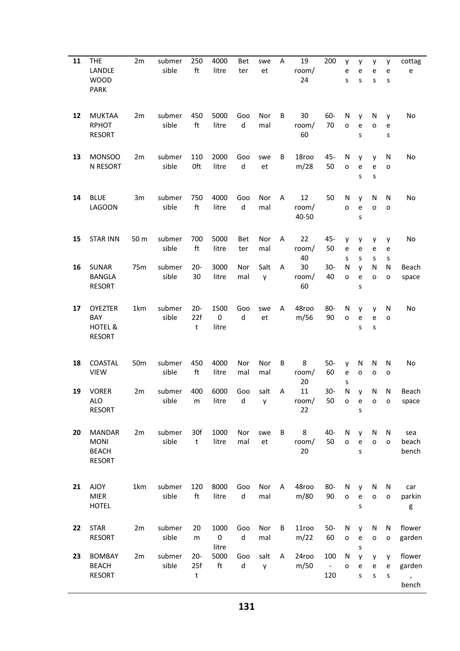| 11 | THE<br>LANDLE<br><b>WOOD</b><br><b>PARK</b>                   | 2m              | submer<br>sible | 250<br>ft                | 4000<br>litre              | Bet<br>ter     | swe<br>et  | A | 19<br>room/<br>24    | 200                                    | y<br>е<br>S              | у<br>e<br>S                                          | y<br>e<br>S | у<br>e<br>S | cottag<br>e                            |
|----|---------------------------------------------------------------|-----------------|-----------------|--------------------------|----------------------------|----------------|------------|---|----------------------|----------------------------------------|--------------------------|------------------------------------------------------|-------------|-------------|----------------------------------------|
| 12 | <b>MUKTAA</b><br><b>RPHOT</b><br><b>RESORT</b>                | 2m              | submer<br>sible | 450<br>ft                | 5000<br>litre              | Goo<br>d       | Nor<br>mal | B | 30<br>room/<br>60    | $60 -$<br>70                           | N<br>$\mathbf{o}$        | y<br>e<br>S                                          | N<br>o      | y<br>e<br>S | No                                     |
| 13 | <b>MONSOO</b><br>N RESORT                                     | 2m              | submer<br>sible | 110<br>0ft               | 2000<br>litre              | Goo<br>d       | swe<br>et  | B | 18roo<br>m/28        | 45-<br>50                              | N<br>o                   | y<br>e<br>S                                          | y<br>e<br>S | N<br>o      | No                                     |
| 14 | <b>BLUE</b><br><b>LAGOON</b>                                  | 3m              | submer<br>sible | 750<br>ft                | 4000<br>litre              | Goo<br>$\sf d$ | Nor<br>mal | A | 12<br>room/<br>40-50 | 50                                     | N<br>o                   | y<br>e<br>S                                          | N<br>O      | N<br>o      | No                                     |
| 15 | <b>STAR INN</b>                                               | 50 m            | submer<br>sible | 700<br>ft                | 5000<br>litre              | Bet<br>ter     | Nor<br>mal | A | 22<br>room/<br>40    | 45-<br>50                              | y<br>e<br>s              | у<br>e<br>S                                          | y<br>e<br>s | y<br>e<br>s | No                                     |
| 16 | <b>SUNAR</b><br><b>BANGLA</b><br><b>RESORT</b>                | 75m             | submer<br>sible | $20 -$<br>30             | 3000<br>litre              | Nor<br>mal     | Salt<br>y  | A | 30<br>room/<br>60    | $30-$<br>40                            | N<br>o                   | y<br>e<br>S                                          | N<br>o      | N<br>o      | Beach<br>space                         |
| 17 | <b>OYEZTER</b><br><b>BAY</b><br>HOTEL &<br><b>RESORT</b>      | 1km             | submer<br>sible | $20 -$<br>22f<br>t       | 1500<br>$\pmb{0}$<br>litre | Goo<br>$\sf d$ | swe<br>et  | A | 48roo<br>m/56        | $80 -$<br>90                           | N<br>$\mathbf{o}$        | y<br>e<br>S                                          | y<br>e<br>S | N<br>o      | No                                     |
| 18 | COASTAL<br><b>VIEW</b>                                        | 50 <sub>m</sub> | submer<br>sible | 450<br>ft                | 4000<br>litre              | Nor<br>mal     | Nor<br>mal | В | 8<br>room/<br>20     | $50 -$<br>60                           | y<br>e<br>s              | N<br>o                                               | N<br>o      | N<br>o      | No                                     |
| 19 | <b>VORER</b><br><b>ALO</b><br><b>RESORT</b>                   | 2m              | submer<br>sible | 400<br>${\sf m}$         | 6000<br>litre              | Goo<br>d       | salt<br>y  | A | 11<br>room/<br>22    | $30-$<br>50                            | Ν<br>$\mathsf{o}$        | y<br>$\mathsf{e}% _{0}\left( \mathsf{e}\right)$<br>S | N<br>o      | N<br>o      | Beach<br>space                         |
| 20 | <b>MANDAR</b><br><b>MONI</b><br><b>BEACH</b><br><b>RESORT</b> | 2m              | submer<br>sible | 30f<br>t                 | 1000<br>litre              | Nor<br>mal     | swe<br>et  | В | 8<br>room/<br>20     | 40-<br>50                              | N<br>$\mathsf{o}\xspace$ | y<br>e<br>S                                          | N<br>o      | N<br>o      | sea<br>beach<br>bench                  |
| 21 | <b>AJOY</b><br><b>MIER</b><br><b>HOTEL</b>                    | 1km             | submer<br>sible | 120<br>ft                | 8000<br>litre              | Goo<br>d       | Nor<br>mal | A | 48roo<br>m/80        | 80-<br>90                              | N<br>o                   | y<br>e<br>S                                          | N<br>o      | N<br>o      | car<br>parkin<br>g                     |
| 22 | <b>STAR</b><br><b>RESORT</b>                                  | 2m              | submer<br>sible | 20<br>m                  | 1000<br>$\pmb{0}$<br>litre | Goo<br>d       | Nor<br>mal | В | 11roo<br>m/22        | $50 -$<br>60                           | N<br>o                   | y<br>e<br>s                                          | N<br>o      | N<br>o      | flower<br>garden                       |
| 23 | <b>BOMBAY</b><br><b>BEACH</b><br><b>RESORT</b>                | 2m              | submer<br>sible | $20 -$<br>25f<br>$\sf t$ | 5000<br>ft                 | Goo<br>d       | salt<br>y  | A | 24roo<br>m/50        | 100<br>$\overline{\phantom{a}}$<br>120 | N<br>o                   | y<br>e<br>S                                          | у<br>e<br>S | y<br>e<br>s | flower<br>garden<br>$\bar{r}$<br>bench |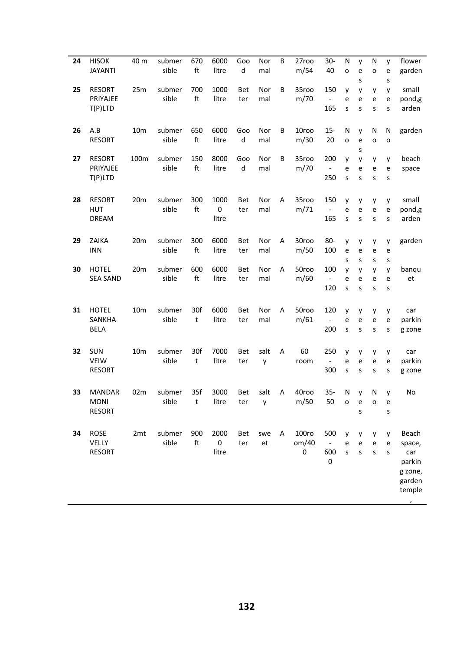| 24 | <b>HISOK</b><br><b>JAYANTI</b>                | 40 m            | submer<br>sible | 670<br>ft           | 6000<br>litre              | Goo<br>d   | Nor<br>mal | B | 27roo<br>m/54       | $30-$<br>40                                | N<br>$\circ$      | y<br>e           | N<br>o            | y<br>e           | flower<br>garden                                                             |
|----|-----------------------------------------------|-----------------|-----------------|---------------------|----------------------------|------------|------------|---|---------------------|--------------------------------------------|-------------------|------------------|-------------------|------------------|------------------------------------------------------------------------------|
| 25 | <b>RESORT</b><br>PRIYAJEE<br>$T(P)$ LTD       | 25m             | submer<br>sible | 700<br>ft           | 1000<br>litre              | Bet<br>ter | Nor<br>mal | B | 35roo<br>m/70       | 150<br>$\overline{\phantom{a}}$<br>165     | y<br>e<br>S       | S<br>у<br>e<br>S | y<br>e<br>S       | S<br>y<br>е<br>S | small<br>pond,g<br>arden                                                     |
| 26 | A.B<br><b>RESORT</b>                          | 10 <sub>m</sub> | submer<br>sible | 650<br>ft           | 6000<br>litre              | Goo<br>d   | Nor<br>mal | B | 10roo<br>m/30       | $15 -$<br>20                               | N<br>O            | y<br>e<br>S      | N<br>o            | N<br>O           | garden                                                                       |
| 27 | <b>RESORT</b><br>PRIYAJEE<br>T(P)LTD          | 100m            | submer<br>sible | 150<br>ft           | 8000<br>litre              | Goo<br>d   | Nor<br>mal | B | 35roo<br>m/70       | 200<br>$\qquad \qquad \blacksquare$<br>250 | y<br>e<br>S       | y<br>e<br>S      | y<br>e<br>S       | y<br>e<br>S      | beach<br>space                                                               |
| 28 | <b>RESORT</b><br><b>HUT</b><br><b>DREAM</b>   | 20m             | submer<br>sible | 300<br>ft           | 1000<br>$\pmb{0}$<br>litre | Bet<br>ter | Nor<br>mal | A | 35roo<br>m/71       | 150<br>$\overline{\phantom{a}}$<br>165     | y<br>e<br>s       | y<br>e<br>S      | y<br>e<br>S       | y<br>e<br>S      | small<br>pond,g<br>arden                                                     |
| 29 | ZAIKA<br><b>INN</b>                           | 20m             | submer<br>sible | 300<br>ft           | 6000<br>litre              | Bet<br>ter | Nor<br>mal | A | 30roo<br>m/50       | 80-<br>100                                 | y<br>e<br>S       | у<br>e<br>S      | y<br>e<br>S       | y<br>е<br>S      | garden                                                                       |
| 30 | <b>HOTEL</b><br><b>SEA SAND</b>               | 20m             | submer<br>sible | 600<br>ft           | 6000<br>litre              | Bet<br>ter | Nor<br>mal | A | 50roo<br>m/60       | 100<br>$\overline{\phantom{a}}$<br>120     | y<br>e<br>S       | y<br>e<br>S      | y<br>e<br>S       | y<br>e<br>S      | banqu<br>et                                                                  |
| 31 | <b>HOTEL</b><br>SANKHA<br><b>BELA</b>         | 10 <sub>m</sub> | submer<br>sible | 30f<br>t            | 6000<br>litre              | Bet<br>ter | Nor<br>mal | Α | 50roo<br>m/61       | 120<br>$\blacksquare$<br>200               | y<br>e<br>S       | y<br>e<br>S      | y<br>e<br>S       | y<br>e<br>S      | car<br>parkin<br>g zone                                                      |
| 32 | SUN<br><b>VEIW</b><br><b>RESORT</b>           | 10 <sub>m</sub> | submer<br>sible | 30f<br>$\mathsf{t}$ | 7000<br>litre              | Bet<br>ter | salt<br>y  | A | 60<br>room          | 250<br>$\blacksquare$<br>300               | y<br>е<br>S       | y<br>e<br>S      | y<br>e<br>S       | y<br>е<br>S      | car<br>parkin<br>g zone                                                      |
| 33 | <b>MANDAR</b><br><b>MONI</b><br><b>RESORT</b> | 02m             | submer<br>sible | 35f<br>t            | 3000<br>litre              | Bet<br>ter | salt<br>y  | Α | 40roo<br>m/50       | $35 -$<br>50                               | N<br>$\mathsf{o}$ | y<br>e<br>S      | N<br>$\mathbf{o}$ | y<br>e<br>S      | No                                                                           |
| 34 | <b>ROSE</b><br>VELLY<br><b>RESORT</b>         | 2mt             | submer<br>sible | 900<br>ft           | 2000<br>0<br>litre         | Bet<br>ter | swe<br>et  | A | 100ro<br>om/40<br>0 | 500<br>600<br>0                            | y<br>е<br>S       | У<br>e<br>S      | y<br>e<br>S       | У<br>e<br>s      | Beach<br>space,<br>car<br>parkin<br>g zone,<br>garden<br>temple<br>$\lambda$ |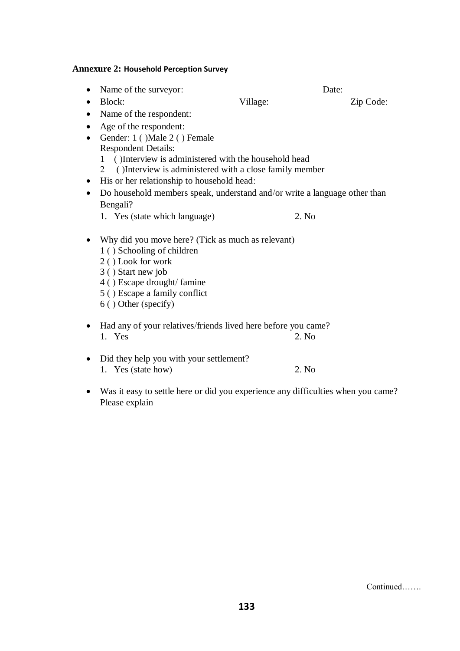### **Annexure 2: Household Perception Survey**

- Name of the surveyor: Date:
- Block: Village: Zip Code:

• Name of the respondent:

- Age of the respondent:
- Gender: 1 ()Male 2 () Female Respondent Details:
	- 1 ( )Interview is administered with the household head
	- 2 ( )Interview is administered with a close family member
- His or her relationship to household head:
- Do household members speak, understand and/or write a language other than Bengali?
	- 1. Yes (state which language) 2. No
- Why did you move here? (Tick as much as relevant) 1 ( ) Schooling of children
	-
	- 2 ( ) Look for work
	- 3 ( ) Start new job
	- 4 ( ) Escape drought/ famine
	- 5 ( ) Escape a family conflict
	- 6 ( ) Other (specify)
- Had any of your relatives/friends lived here before you came? 1. Yes 2. No
- Did they help you with your settlement? 1. Yes (state how) 2. No
- Was it easy to settle here or did you experience any difficulties when you came? Please explain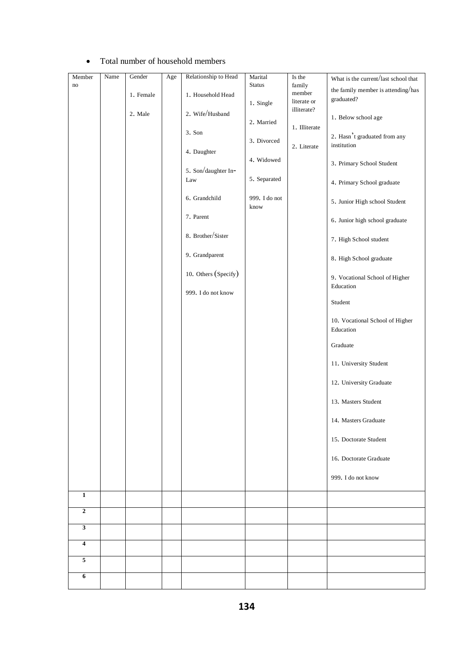| Member                  | Name | Gender    | Age | Relationship to Head | Marital       | Is the                             | What is the current/last school that         |
|-------------------------|------|-----------|-----|----------------------|---------------|------------------------------------|----------------------------------------------|
| no                      |      | 1. Female |     | 1. Household Head    | <b>Status</b> | $\mbox{family}$<br>$\mbox{member}$ | the family member is attending/has           |
|                         |      |           |     |                      | 1. Single     | literate or                        | graduated?                                   |
|                         |      | 2. Male   |     | 2. Wife/Husband      |               | illiterate?                        | 1. Below school age                          |
|                         |      |           |     |                      | 2. Married    | 1. Illiterate                      |                                              |
|                         |      |           |     | 3. Son               | 3. Divorced   |                                    | 2. Hasn't graduated from any                 |
|                         |      |           |     | 4. Daughter          |               | 2. Literate                        | institution                                  |
|                         |      |           |     |                      | 4. Widowed    |                                    | 3. Primary School Student                    |
|                         |      |           |     | 5. Son/daughter In-  |               |                                    |                                              |
|                         |      |           |     | Law                  | 5. Separated  |                                    | 4. Primary School graduate                   |
|                         |      |           |     | 6. Grandchild        | 999. I do not |                                    |                                              |
|                         |      |           |     |                      | know          |                                    | 5. Junior High school Student                |
|                         |      |           |     | 7. Parent            |               |                                    | 6. Junior high school graduate               |
|                         |      |           |     | 8. Brother/Sister    |               |                                    |                                              |
|                         |      |           |     |                      |               |                                    | 7. High School student                       |
|                         |      |           |     | 9. Grandparent       |               |                                    | 8. High School graduate                      |
|                         |      |           |     |                      |               |                                    |                                              |
|                         |      |           |     | 10. Others (Specify) |               |                                    | 9. Vocational School of Higher               |
|                         |      |           |     | 999. I do not know   |               |                                    | Education                                    |
|                         |      |           |     |                      |               |                                    | Student                                      |
|                         |      |           |     |                      |               |                                    |                                              |
|                         |      |           |     |                      |               |                                    | 10. Vocational School of Higher<br>Education |
|                         |      |           |     |                      |               |                                    |                                              |
|                         |      |           |     |                      |               |                                    | Graduate                                     |
|                         |      |           |     |                      |               |                                    | 11. University Student                       |
|                         |      |           |     |                      |               |                                    |                                              |
|                         |      |           |     |                      |               |                                    | 12. University Graduate                      |
|                         |      |           |     |                      |               |                                    |                                              |
|                         |      |           |     |                      |               |                                    | 13. Masters Student                          |
|                         |      |           |     |                      |               |                                    | 14. Masters Graduate                         |
|                         |      |           |     |                      |               |                                    |                                              |
|                         |      |           |     |                      |               |                                    | 15. Doctorate Student                        |
|                         |      |           |     |                      |               |                                    | 16. Doctorate Graduate                       |
|                         |      |           |     |                      |               |                                    |                                              |
|                         |      |           |     |                      |               |                                    | 999. I do not know                           |
| $\overline{1}$          |      |           |     |                      |               |                                    |                                              |
|                         |      |           |     |                      |               |                                    |                                              |
| $\mathbf{2}$            |      |           |     |                      |               |                                    |                                              |
| $\mathbf{3}$            |      |           |     |                      |               |                                    |                                              |
| $\overline{\mathbf{4}}$ |      |           |     |                      |               |                                    |                                              |
|                         |      |           |     |                      |               |                                    |                                              |
| $\overline{5}$          |      |           |     |                      |               |                                    |                                              |
| 6                       |      |           |     |                      |               |                                    |                                              |
|                         |      |           |     |                      |               |                                    |                                              |

#### Total number of household members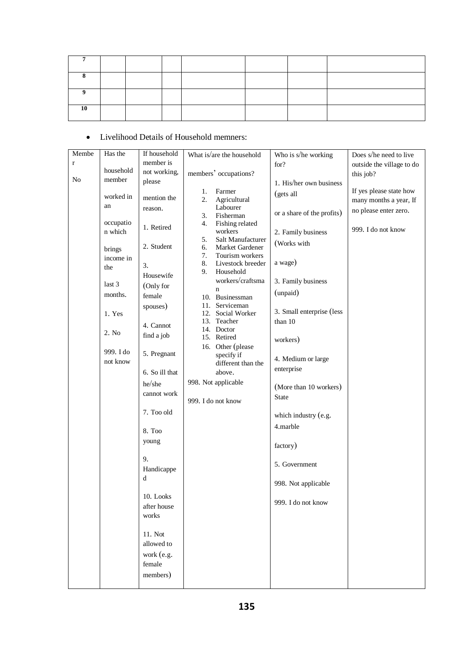| 10 |  |  |  |  |
|----|--|--|--|--|

### Livelihood Details of Household memners:

| Membe          | Has the   | If household   | What is/are the household | Who is s/he working        | Does s/he need to live    |
|----------------|-----------|----------------|---------------------------|----------------------------|---------------------------|
| $\mathbf r$    |           | member is      |                           | for?                       | outside the village to do |
|                | household | not working,   | members' occupations?     |                            | this job?                 |
| N <sub>o</sub> | member    | please         |                           |                            |                           |
|                |           |                |                           | 1. His/her own business    |                           |
|                | worked in |                | Farmer<br>1.              | (gets all                  | If yes please state how   |
|                |           | mention the    | 2.<br>Agricultural        |                            | many months a year, If    |
|                | an        | reason.        | Labourer                  |                            | no please enter zero.     |
|                |           |                | 3.<br>Fisherman           | or a share of the profits) |                           |
|                | occupatio | 1. Retired     | 4.<br>Fishing related     |                            |                           |
|                | n which   |                | workers                   | 2. Family business         | 999. I do not know        |
|                |           |                | 5.<br>Salt Manufacturer   |                            |                           |
|                | brings    | 2. Student     | Market Gardener<br>6.     | (Works with                |                           |
|                | income in |                | 7.<br>Tourism workers     |                            |                           |
|                |           | 3.             | 8.<br>Livestock breeder   | a wage)                    |                           |
|                | the       |                | Household<br>9.           |                            |                           |
|                |           | Housewife      | workers/craftsma          | 3. Family business         |                           |
|                | last 3    | (Only for      | $\mathbf n$               |                            |                           |
|                | months.   | female         | 10. Businessman           | (unpaid)                   |                           |
|                |           |                | Serviceman                |                            |                           |
|                |           | spouses)       | 11.                       | 3. Small enterprise (less  |                           |
|                | 1. Yes    |                | Social Worker<br>12.      |                            |                           |
|                |           | 4. Cannot      | 13.<br>Teacher            | than 10                    |                           |
|                | 2. No     | find a job     | 14. Doctor                |                            |                           |
|                |           |                | 15. Retired               | workers)                   |                           |
|                |           |                | 16. Other (please         |                            |                           |
|                | 999. I do | 5. Pregnant    | specify if                | 4. Medium or large         |                           |
|                | not know  |                | different than the        |                            |                           |
|                |           | 6. So ill that | above.                    | enterprise                 |                           |
|                |           |                | 998. Not applicable       |                            |                           |
|                |           | he/she         |                           | (More than 10 workers)     |                           |
|                |           | cannot work    |                           | <b>State</b>               |                           |
|                |           |                | 999. I do not know        |                            |                           |
|                |           | 7. Too old     |                           |                            |                           |
|                |           |                |                           | which industry (e.g.       |                           |
|                |           |                |                           | 4.marble                   |                           |
|                |           | 8. Too         |                           |                            |                           |
|                |           | young          |                           | factory)                   |                           |
|                |           |                |                           |                            |                           |
|                |           | 9.             |                           |                            |                           |
|                |           |                |                           | 5. Government              |                           |
|                |           | Handicappe     |                           |                            |                           |
|                |           | $\mathbf d$    |                           | 998. Not applicable        |                           |
|                |           |                |                           |                            |                           |
|                |           | 10. Looks      |                           |                            |                           |
|                |           | after house    |                           | 999. I do not know         |                           |
|                |           | works          |                           |                            |                           |
|                |           |                |                           |                            |                           |
|                |           |                |                           |                            |                           |
|                |           | 11. Not        |                           |                            |                           |
|                |           | allowed to     |                           |                            |                           |
|                |           | work (e.g.     |                           |                            |                           |
|                |           |                |                           |                            |                           |
|                |           | female         |                           |                            |                           |
|                |           | members)       |                           |                            |                           |
|                |           |                |                           |                            |                           |
|                |           |                |                           |                            |                           |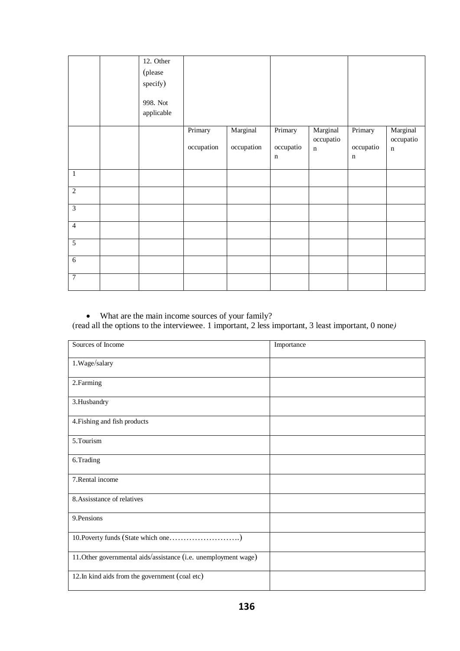|                  | 12. Other  |            |            |             |                          |             |                       |
|------------------|------------|------------|------------|-------------|--------------------------|-------------|-----------------------|
|                  | (please    |            |            |             |                          |             |                       |
|                  | specify)   |            |            |             |                          |             |                       |
|                  |            |            |            |             |                          |             |                       |
|                  | 998. Not   |            |            |             |                          |             |                       |
|                  | applicable |            |            |             |                          |             |                       |
|                  |            |            |            |             |                          |             |                       |
|                  |            | Primary    | Marginal   | Primary     | Marginal                 | Primary     | Marginal<br>occupatio |
|                  |            | occupation | occupation | occupatio   | occupatio<br>$\mathbf n$ | occupatio   | $\mathbf n$           |
|                  |            |            |            | $\mathbf n$ |                          | $\mathbf n$ |                       |
|                  |            |            |            |             |                          |             |                       |
| $\mathbf{1}$     |            |            |            |             |                          |             |                       |
| $\overline{2}$   |            |            |            |             |                          |             |                       |
| $\overline{3}$   |            |            |            |             |                          |             |                       |
|                  |            |            |            |             |                          |             |                       |
| $\overline{4}$   |            |            |            |             |                          |             |                       |
| 5                |            |            |            |             |                          |             |                       |
|                  |            |            |            |             |                          |             |                       |
| $\sqrt{6}$       |            |            |            |             |                          |             |                       |
| $\boldsymbol{7}$ |            |            |            |             |                          |             |                       |

What are the main income sources of your family?

(read all the options to the interviewee. 1 important, 2 less important, 3 least important, 0 none*)*

| Sources of Income                                               | Importance |
|-----------------------------------------------------------------|------------|
| 1.Wage/salary                                                   |            |
| 2.Farming                                                       |            |
| 3.Husbandry                                                     |            |
| 4. Fishing and fish products                                    |            |
| 5.Tourism                                                       |            |
| 6.Trading                                                       |            |
| 7. Rental income                                                |            |
| 8. Assisstance of relatives                                     |            |
| 9. Pensions                                                     |            |
|                                                                 |            |
| 11. Other governmental aids/assistance (i.e. unemployment wage) |            |
| 12. In kind aids from the government (coal etc)                 |            |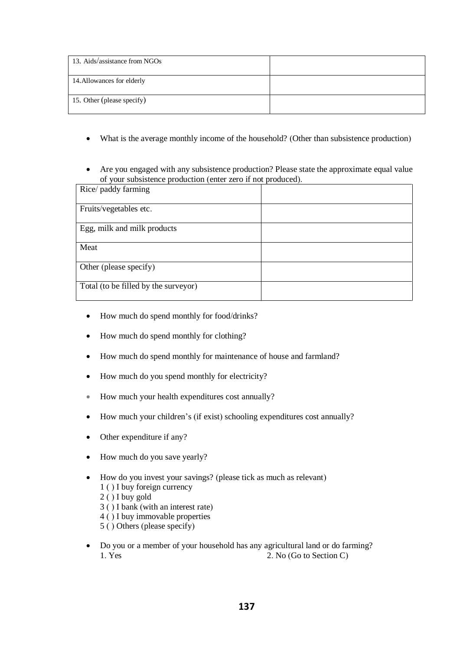| 13. Aids/assistance from NGOs |  |
|-------------------------------|--|
| 14. Allowances for elderly    |  |
| 15. Other (please specify)    |  |

- What is the average monthly income of the household? (Other than subsistence production)
- Are you engaged with any subsistence production? Please state the approximate equal value of your subsistence production (enter zero if not produced).

| Rice/ paddy farming                  |  |
|--------------------------------------|--|
| Fruits/vegetables etc.               |  |
| Egg, milk and milk products          |  |
| Meat                                 |  |
| Other (please specify)               |  |
| Total (to be filled by the surveyor) |  |

- How much do spend monthly for food/drinks?
- How much do spend monthly for clothing?
- How much do spend monthly for maintenance of house and farmland?
- How much do you spend monthly for electricity?
- How much your health expenditures cost annually?
- How much your children's (if exist) schooling expenditures cost annually?
- Other expenditure if any?
- How much do you save yearly?
- How do you invest your savings? (please tick as much as relevant)
	- 1 ( ) I buy foreign currency
	- 2 ( ) I buy gold
	- 3 ( ) I bank (with an interest rate)
	- 4 ( ) I buy immovable properties
	- 5 ( ) Others (please specify)
- Do you or a member of your household has any agricultural land or do farming? 1. Yes 2. No (Go to Section C)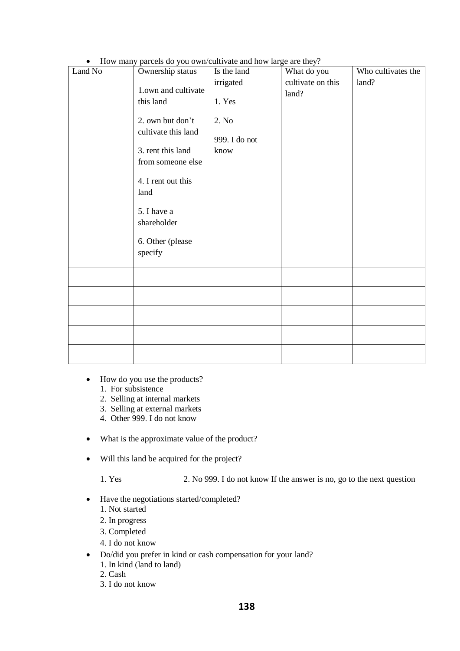• How many parcels do you own/cultivate and how large are they?

| Land No | 110 <sup>1</sup> manj parecis ao joa omn'ean-me and now naze are moj :<br>Ownership status                                                                                                                       | Is the land                                           | What do you                | Who cultivates the |
|---------|------------------------------------------------------------------------------------------------------------------------------------------------------------------------------------------------------------------|-------------------------------------------------------|----------------------------|--------------------|
|         | 1.own and cultivate<br>this land<br>2. own but don't<br>cultivate this land<br>3. rent this land<br>from someone else<br>4. I rent out this<br>land<br>5. I have a<br>shareholder<br>6. Other (please<br>specify | irrigated<br>1. Yes<br>2. No<br>999. I do not<br>know | cultivate on this<br>land? | land?              |
|         |                                                                                                                                                                                                                  |                                                       |                            |                    |
|         |                                                                                                                                                                                                                  |                                                       |                            |                    |
|         |                                                                                                                                                                                                                  |                                                       |                            |                    |
|         |                                                                                                                                                                                                                  |                                                       |                            |                    |
|         |                                                                                                                                                                                                                  |                                                       |                            |                    |

- How do you use the products?
	- 1. For subsistence
	- 2. Selling at internal markets
	- 3. Selling at external markets
	- 4. Other 999. I do not know
- What is the approximate value of the product?
- Will this land be acquired for the project?

1. Yes 2. No 999. I do not know If the answer is no, go to the next question

- Have the negotiations started/completed?
	- 1. Not started
	- 2. In progress
	- 3. Completed
	- 4. I do not know
- Do/did you prefer in kind or cash compensation for your land? 1. In kind (land to land)
	- 2. Cash
	-
	- 3. I do not know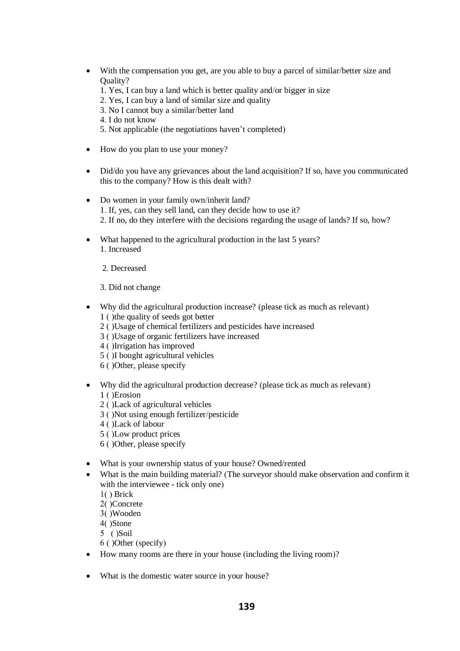- With the compensation you get, are you able to buy a parcel of similar/better size and Quality?
	- 1. Yes, I can buy a land which is better quality and/or bigger in size
	- 2. Yes, I can buy a land of similar size and quality
	- 3. No I cannot buy a similar/better land
	- 4. I do not know
	- 5. Not applicable (the negotiations haven't completed)
- How do you plan to use your money?
- Did/do you have any grievances about the land acquisition? If so, have you communicated this to the company? How is this dealt with?
- Do women in your family own/inherit land? 1. If, yes, can they sell land, can they decide how to use it? 2. If no, do they interfere with the decisions regarding the usage of lands? If so, how?
- What happened to the agricultural production in the last 5 years? 1. Increased
	- 2. Decreased
	- 3. Did not change
- Why did the agricultural production increase? (please tick as much as relevant) 1 ( )the quality of seeds got better
	- 2 ( )Usage of chemical fertilizers and pesticides have increased
	- 3 ( )Usage of organic fertilizers have increased
	- 4 ( )Irrigation has improved
	- 5 ( )I bought agricultural vehicles
	- 6 ( )Other, please specify
- Why did the agricultural production decrease? (please tick as much as relevant) 1 ( )Erosion
	- 2 ( )Lack of agricultural vehicles
	- 3 ( )Not using enough fertilizer/pesticide
	- 4 ( )Lack of labour
	- 5 ( )Low product prices
	- 6 ( )Other, please specify
- What is your ownership status of your house? Owned/rented
- What is the main building material? (The surveyor should make observation and confirm it with the interviewee - tick only one)
	- 1( ) Brick
	- 2( )Concrete
	- 3( )Wooden
	- 4( )Stone
	- 5 ( )Soil
	- 6 ( )Other (specify)
- How many rooms are there in your house (including the living room)?
- What is the domestic water source in your house?